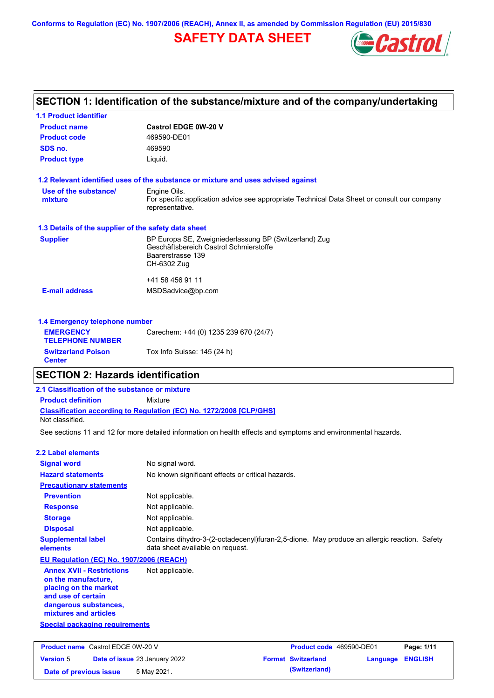**Conforms to Regulation (EC) No. 1907/2006 (REACH), Annex II, as amended by Commission Regulation (EU) 2015/830**

## **SAFETY DATA SHEET**



| SECTION 1: Identification of the substance/mixture and of the company/undertaking |                                                                                                                |  |  |
|-----------------------------------------------------------------------------------|----------------------------------------------------------------------------------------------------------------|--|--|
| <b>1.1 Product identifier</b>                                                     |                                                                                                                |  |  |
| <b>Product name</b>                                                               | <b>Castrol EDGE 0W-20 V</b>                                                                                    |  |  |
| <b>Product code</b>                                                               | 469590-DE01                                                                                                    |  |  |
| SDS no.                                                                           | 469590                                                                                                         |  |  |
| <b>Product type</b>                                                               | Liquid.                                                                                                        |  |  |
|                                                                                   | 1.2 Relevant identified uses of the substance or mixture and uses advised against                              |  |  |
| Use of the substance/                                                             | Engine Oils.                                                                                                   |  |  |
| mixture                                                                           | For specific application advice see appropriate Technical Data Sheet or consult our company<br>representative. |  |  |
| 1.3 Details of the supplier of the safety data sheet                              |                                                                                                                |  |  |
| <b>Supplier</b>                                                                   | BP Europa SE, Zweigniederlassung BP (Switzerland) Zug<br>Geschäftsbereich Castrol Schmierstoffe                |  |  |
|                                                                                   | Baarerstrasse 139                                                                                              |  |  |
|                                                                                   | CH-6302 Zug                                                                                                    |  |  |
|                                                                                   | +41 58 456 91 11                                                                                               |  |  |
| <b>E-mail address</b>                                                             | MSDSadvice@bp.com                                                                                              |  |  |
| 1.4 Emergency telephone number                                                    |                                                                                                                |  |  |
| <b>EMERGENCY</b><br><b>TELEPHONE NUMBER</b>                                       | Carechem: +44 (0) 1235 239 670 (24/7)                                                                          |  |  |
| <b>Switzerland Poison</b><br><b>Center</b>                                        | Tox Info Suisse: 145 (24 h)                                                                                    |  |  |

### **SECTION 2: Hazards identification**

### **Classification according to Regulation (EC) No. 1272/2008 [CLP/GHS] 2.1 Classification of the substance or mixture Product definition** Mixture Not classified.

See sections 11 and 12 for more detailed information on health effects and symptoms and environmental hazards.

| 2.2 Label elements                                                                                                                                       |                                                                                                                                 |                           |                          |          |                |
|----------------------------------------------------------------------------------------------------------------------------------------------------------|---------------------------------------------------------------------------------------------------------------------------------|---------------------------|--------------------------|----------|----------------|
| <b>Signal word</b>                                                                                                                                       | No signal word.                                                                                                                 |                           |                          |          |                |
| <b>Hazard statements</b>                                                                                                                                 | No known significant effects or critical hazards.                                                                               |                           |                          |          |                |
| <b>Precautionary statements</b>                                                                                                                          |                                                                                                                                 |                           |                          |          |                |
| <b>Prevention</b>                                                                                                                                        | Not applicable.                                                                                                                 |                           |                          |          |                |
| <b>Response</b>                                                                                                                                          | Not applicable.                                                                                                                 |                           |                          |          |                |
| <b>Storage</b>                                                                                                                                           | Not applicable.                                                                                                                 |                           |                          |          |                |
| <b>Disposal</b>                                                                                                                                          | Not applicable.                                                                                                                 |                           |                          |          |                |
| <b>Supplemental label</b><br>elements                                                                                                                    | Contains dihydro-3-(2-octadecenyl)furan-2,5-dione. May produce an allergic reaction. Safety<br>data sheet available on request. |                           |                          |          |                |
| EU Regulation (EC) No. 1907/2006 (REACH)                                                                                                                 |                                                                                                                                 |                           |                          |          |                |
| <b>Annex XVII - Restrictions</b><br>on the manufacture.<br>placing on the market<br>and use of certain<br>dangerous substances,<br>mixtures and articles | Not applicable.                                                                                                                 |                           |                          |          |                |
| <b>Special packaging requirements</b>                                                                                                                    |                                                                                                                                 |                           |                          |          |                |
| <b>Product name</b> Castrol EDGE 0W-20 V                                                                                                                 |                                                                                                                                 |                           | Product code 469590-DE01 |          | Page: 1/11     |
| <b>Version 5</b><br><b>Date of issue 23 January 2022</b>                                                                                                 |                                                                                                                                 | <b>Format Switzerland</b> |                          | Language | <b>ENGLISH</b> |

**Date of previous issue** 5 May 2021. **Conservative System (Switzerland) (Switzerland)**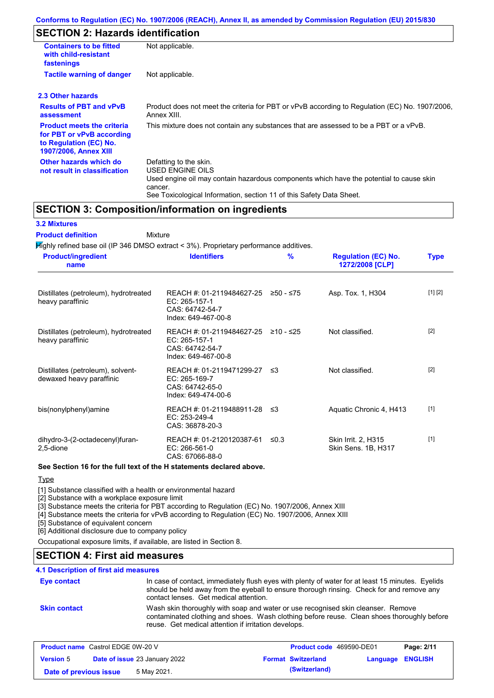## **SECTION 2: Hazards identification**

| <b>Containers to be fitted</b><br>with child-resistant<br>fastenings                                                     | Not applicable.                                                                                                                                                                                                          |
|--------------------------------------------------------------------------------------------------------------------------|--------------------------------------------------------------------------------------------------------------------------------------------------------------------------------------------------------------------------|
| <b>Tactile warning of danger</b>                                                                                         | Not applicable.                                                                                                                                                                                                          |
| 2.3 Other hazards                                                                                                        |                                                                                                                                                                                                                          |
| <b>Results of PBT and vPvB</b><br>assessment                                                                             | Product does not meet the criteria for PBT or vPvB according to Regulation (EC) No. 1907/2006,<br>Annex XIII.                                                                                                            |
| <b>Product meets the criteria</b><br>for PBT or vPvB according<br>to Regulation (EC) No.<br><b>1907/2006, Annex XIII</b> | This mixture does not contain any substances that are assessed to be a PBT or a vPvB.                                                                                                                                    |
| Other hazards which do<br>not result in classification                                                                   | Defatting to the skin.<br>USED ENGINE OILS<br>Used engine oil may contain hazardous components which have the potential to cause skin<br>cancer.<br>See Toxicological Information, section 11 of this Safety Data Sheet. |

### **SECTION 3: Composition/information on ingredients**

#### **3.2 Mixtures**

Mixture **Product definition**

Highly refined base oil (IP 346 DMSO extract < 3%). Proprietary performance additives.

| <b>Product/ingredient</b><br>name                             | <b>Identifiers</b>                                                                     | %           | <b>Regulation (EC) No.</b><br>1272/2008 [CLP]     | <b>Type</b> |
|---------------------------------------------------------------|----------------------------------------------------------------------------------------|-------------|---------------------------------------------------|-------------|
| Distillates (petroleum), hydrotreated<br>heavy paraffinic     | REACH #: 01-2119484627-25<br>EC: 265-157-1<br>CAS: 64742-54-7<br>Index: 649-467-00-8   | ≥50 - ≤75   | Asp. Tox. 1, H304                                 | [1] [2]     |
| Distillates (petroleum), hydrotreated<br>heavy paraffinic     | REACH #: 01-2119484627-25<br>EC: 265-157-1<br>CAS: 64742-54-7<br>Index: 649-467-00-8   | $≥10 - ≤25$ | Not classified.                                   | $[2]$       |
| Distillates (petroleum), solvent-<br>dewaxed heavy paraffinic | REACH #: 01-2119471299-27<br>$EC: 265-169-7$<br>CAS: 64742-65-0<br>Index: 649-474-00-6 | -≤3         | Not classified.                                   | $[2]$       |
| bis(nonylphenyl)amine                                         | REACH #: 01-2119488911-28<br>EC: 253-249-4<br>CAS: 36878-20-3                          | - ≤3        | Aquatic Chronic 4, H413                           | $[1]$       |
| dihydro-3-(2-octadecenyl)furan-<br>2,5-dione                  | REACH #: 01-2120120387-61<br>EC: 266-561-0<br>CAS: 67066-88-0                          | ≤0.3        | <b>Skin Irrit. 2, H315</b><br>Skin Sens. 1B, H317 | $[1]$       |

#### **See Section 16 for the full text of the H statements declared above.**

**Type** 

[1] Substance classified with a health or environmental hazard

[2] Substance with a workplace exposure limit

[3] Substance meets the criteria for PBT according to Regulation (EC) No. 1907/2006, Annex XIII

[4] Substance meets the criteria for vPvB according to Regulation (EC) No. 1907/2006, Annex XIII

[5] Substance of equivalent concern

[6] Additional disclosure due to company policy

Occupational exposure limits, if available, are listed in Section 8.

### **SECTION 4: First aid measures**

#### **4.1 Description of first aid measures**

| Eye contact         | In case of contact, immediately flush eyes with plenty of water for at least 15 minutes. Eyelids<br>should be held away from the eyeball to ensure thorough rinsing. Check for and remove any<br>contact lenses. Get medical attention. |
|---------------------|-----------------------------------------------------------------------------------------------------------------------------------------------------------------------------------------------------------------------------------------|
| <b>Skin contact</b> | Wash skin thoroughly with soap and water or use recognised skin cleanser. Remove<br>contaminated clothing and shoes. Wash clothing before reuse. Clean shoes thoroughly before<br>reuse. Get medical attention if irritation develops.  |

| <b>Product name</b> Castrol EDGE 0W-20 V |  | <b>Product code</b> 469590-DE01      |  | Page: 2/11                |                         |  |
|------------------------------------------|--|--------------------------------------|--|---------------------------|-------------------------|--|
| <b>Version 5</b>                         |  | <b>Date of issue 23 January 2022</b> |  | <b>Format Switzerland</b> | <b>Language ENGLISH</b> |  |
| Date of previous issue                   |  | 5 May 2021.                          |  | (Switzerland)             |                         |  |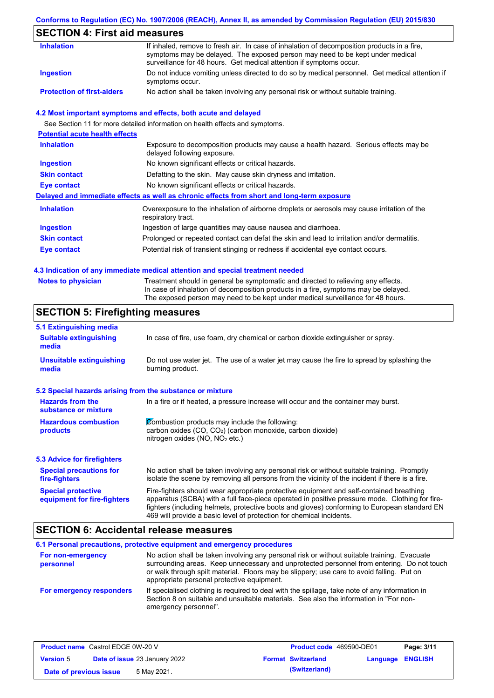#### **Conforms to Regulation (EC) No. 1907/2006 (REACH), Annex II, as amended by Commission Regulation (EU) 2015/830**

## **SECTION 4: First aid measures**

| <b>Inhalation</b>                 | If inhaled, remove to fresh air. In case of inhalation of decomposition products in a fire,<br>symptoms may be delayed. The exposed person may need to be kept under medical<br>surveillance for 48 hours. Get medical attention if symptoms occur. |
|-----------------------------------|-----------------------------------------------------------------------------------------------------------------------------------------------------------------------------------------------------------------------------------------------------|
| Ingestion                         | Do not induce vomiting unless directed to do so by medical personnel. Get medical attention if<br>symptoms occur.                                                                                                                                   |
| <b>Protection of first-aiders</b> | No action shall be taken involving any personal risk or without suitable training.                                                                                                                                                                  |

#### **4.2 Most important symptoms and effects, both acute and delayed**

See Section 11 for more detailed information on health effects and symptoms.

| <b>Potential acute health effects</b> |                                                                                                                     |
|---------------------------------------|---------------------------------------------------------------------------------------------------------------------|
| <b>Inhalation</b>                     | Exposure to decomposition products may cause a health hazard. Serious effects may be<br>delayed following exposure. |
| <b>Ingestion</b>                      | No known significant effects or critical hazards.                                                                   |
| <b>Skin contact</b>                   | Defatting to the skin. May cause skin dryness and irritation.                                                       |
| Eye contact                           | No known significant effects or critical hazards.                                                                   |
|                                       | Delayed and immediate effects as well as chronic effects from short and long-term exposure                          |
| <b>Inhalation</b>                     | Overexposure to the inhalation of airborne droplets or aerosols may cause irritation of the<br>respiratory tract.   |
| <b>Ingestion</b>                      | Ingestion of large quantities may cause nausea and diarrhoea.                                                       |
| <b>Skin contact</b>                   | Prolonged or repeated contact can defat the skin and lead to irritation and/or dermatitis.                          |
| Eye contact                           | Potential risk of transient stinging or redness if accidental eye contact occurs.                                   |
|                                       |                                                                                                                     |

#### **4.3 Indication of any immediate medical attention and special treatment needed**

| <b>Notes to physician</b> | Treatment should in general be symptomatic and directed to relieving any effects.   |
|---------------------------|-------------------------------------------------------------------------------------|
|                           | In case of inhalation of decomposition products in a fire, symptoms may be delayed. |
|                           | The exposed person may need to be kept under medical surveillance for 48 hours.     |

## **SECTION 5: Firefighting measures**

| 5.1 Extinguishing media                                   |                                                                                                                                                                                                                                                                                                                                                                   |
|-----------------------------------------------------------|-------------------------------------------------------------------------------------------------------------------------------------------------------------------------------------------------------------------------------------------------------------------------------------------------------------------------------------------------------------------|
| <b>Suitable extinguishing</b><br>media                    | In case of fire, use foam, dry chemical or carbon dioxide extinguisher or spray.                                                                                                                                                                                                                                                                                  |
| <b>Unsuitable extinguishing</b><br>media                  | Do not use water jet. The use of a water jet may cause the fire to spread by splashing the<br>burning product.                                                                                                                                                                                                                                                    |
| 5.2 Special hazards arising from the substance or mixture |                                                                                                                                                                                                                                                                                                                                                                   |
| <b>Hazards from the</b><br>substance or mixture           | In a fire or if heated, a pressure increase will occur and the container may burst.                                                                                                                                                                                                                                                                               |
| <b>Hazardous combustion</b><br>products                   | Combustion products may include the following:<br>carbon oxides $(CO, CO2)$ (carbon monoxide, carbon dioxide)<br>nitrogen oxides ( $NO$ , $NO2$ etc.)                                                                                                                                                                                                             |
| <b>5.3 Advice for firefighters</b>                        |                                                                                                                                                                                                                                                                                                                                                                   |
| <b>Special precautions for</b><br>fire-fighters           | No action shall be taken involving any personal risk or without suitable training. Promptly<br>isolate the scene by removing all persons from the vicinity of the incident if there is a fire.                                                                                                                                                                    |
| <b>Special protective</b><br>equipment for fire-fighters  | Fire-fighters should wear appropriate protective equipment and self-contained breathing<br>apparatus (SCBA) with a full face-piece operated in positive pressure mode. Clothing for fire-<br>fighters (including helmets, protective boots and gloves) conforming to European standard EN<br>469 will provide a basic level of protection for chemical incidents. |

### **SECTION 6: Accidental release measures**

|                                | 6.1 Personal precautions, protective equipment and emergency procedures                                                                                                                                                                                                                                                             |
|--------------------------------|-------------------------------------------------------------------------------------------------------------------------------------------------------------------------------------------------------------------------------------------------------------------------------------------------------------------------------------|
| For non-emergency<br>personnel | No action shall be taken involving any personal risk or without suitable training. Evacuate<br>surrounding areas. Keep unnecessary and unprotected personnel from entering. Do not touch<br>or walk through spilt material. Floors may be slippery; use care to avoid falling. Put on<br>appropriate personal protective equipment. |
| For emergency responders       | If specialised clothing is required to deal with the spillage, take note of any information in<br>Section 8 on suitable and unsuitable materials. See also the information in "For non-<br>emergency personnel".                                                                                                                    |

| <b>Product name</b> Castrol EDGE 0W-20 V |  | <b>Product code</b> 469590-DE01 |  | Page: 3/11                |                  |  |
|------------------------------------------|--|---------------------------------|--|---------------------------|------------------|--|
| <b>Version 5</b>                         |  | Date of issue 23 January 2022   |  | <b>Format Switzerland</b> | Language ENGLISH |  |
| Date of previous issue                   |  | 5 May 2021.                     |  | (Switzerland)             |                  |  |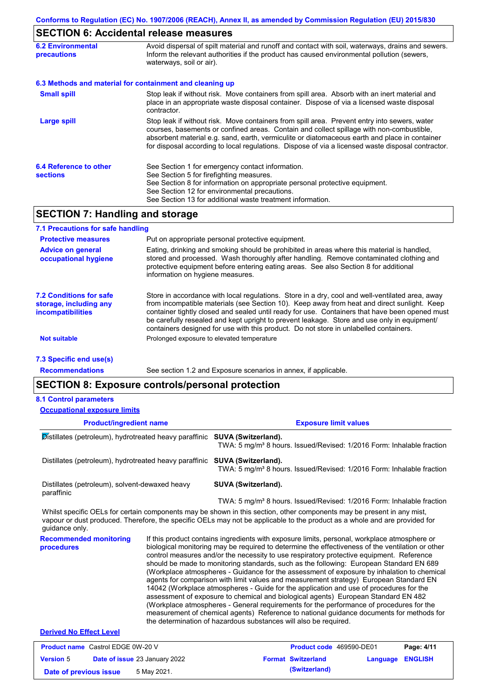# **SECTION 6: Accidental release measures**

| <b>6.2 Environmental</b><br><b>precautions</b> | Avoid dispersal of spilt material and runoff and contact with soil, waterways, drains and sewers.<br>Inform the relevant authorities if the product has caused environmental pollution (sewers,<br>waterways, soil or air).                                                                                                                                                                    |
|------------------------------------------------|------------------------------------------------------------------------------------------------------------------------------------------------------------------------------------------------------------------------------------------------------------------------------------------------------------------------------------------------------------------------------------------------|
|                                                | 6.3 Methods and material for containment and cleaning up                                                                                                                                                                                                                                                                                                                                       |
| <b>Small spill</b>                             | Stop leak if without risk. Move containers from spill area. Absorb with an inert material and<br>place in an appropriate waste disposal container. Dispose of via a licensed waste disposal<br>contractor.                                                                                                                                                                                     |
| <b>Large spill</b>                             | Stop leak if without risk. Move containers from spill area. Prevent entry into sewers, water<br>courses, basements or confined areas. Contain and collect spillage with non-combustible,<br>absorbent material e.g. sand, earth, vermiculite or diatomaceous earth and place in container<br>for disposal according to local regulations. Dispose of via a licensed waste disposal contractor. |
| 6.4 Reference to other<br><b>sections</b>      | See Section 1 for emergency contact information.<br>See Section 5 for firefighting measures.<br>See Section 8 for information on appropriate personal protective equipment.<br>See Section 12 for environmental precautions.<br>See Section 13 for additional waste treatment information.                                                                                                     |

### **SECTION 7: Handling and storage**

| 7.1 Precautions for safe handling                                             |                                                                                                                                                                                                                                                                                                                                                                                                                                                                                          |
|-------------------------------------------------------------------------------|------------------------------------------------------------------------------------------------------------------------------------------------------------------------------------------------------------------------------------------------------------------------------------------------------------------------------------------------------------------------------------------------------------------------------------------------------------------------------------------|
| <b>Protective measures</b>                                                    | Put on appropriate personal protective equipment.                                                                                                                                                                                                                                                                                                                                                                                                                                        |
| <b>Advice on general</b><br>occupational hygiene                              | Eating, drinking and smoking should be prohibited in areas where this material is handled,<br>stored and processed. Wash thoroughly after handling. Remove contaminated clothing and<br>protective equipment before entering eating areas. See also Section 8 for additional<br>information on hygiene measures.                                                                                                                                                                         |
| 7.2 Conditions for safe<br>storage, including any<br><i>incompatibilities</i> | Store in accordance with local requlations. Store in a dry, cool and well-ventilated area, away<br>from incompatible materials (see Section 10). Keep away from heat and direct sunlight. Keep<br>container tightly closed and sealed until ready for use. Containers that have been opened must<br>be carefully resealed and kept upright to prevent leakage. Store and use only in equipment/<br>containers designed for use with this product. Do not store in unlabelled containers. |
| <b>Not suitable</b>                                                           | Prolonged exposure to elevated temperature                                                                                                                                                                                                                                                                                                                                                                                                                                               |
| 7.3 Specific end use(s)                                                       |                                                                                                                                                                                                                                                                                                                                                                                                                                                                                          |

**Recommendations**

See section 1.2 and Exposure scenarios in annex, if applicable.

### **SECTION 8: Exposure controls/personal protection**

#### **8.1 Control parameters**

| <b>Occupational exposure limits</b>                                        |                                                                                                                                                                                                                                                                                                                                                                                                                                                                                                                                                                                                                                                                                                                                                                                                                                                                                                                                                                                                                            |  |
|----------------------------------------------------------------------------|----------------------------------------------------------------------------------------------------------------------------------------------------------------------------------------------------------------------------------------------------------------------------------------------------------------------------------------------------------------------------------------------------------------------------------------------------------------------------------------------------------------------------------------------------------------------------------------------------------------------------------------------------------------------------------------------------------------------------------------------------------------------------------------------------------------------------------------------------------------------------------------------------------------------------------------------------------------------------------------------------------------------------|--|
| <b>Product/ingredient name</b>                                             | <b>Exposure limit values</b>                                                                                                                                                                                                                                                                                                                                                                                                                                                                                                                                                                                                                                                                                                                                                                                                                                                                                                                                                                                               |  |
| Distillates (petroleum), hydrotreated heavy paraffinic SUVA (Switzerland). | TWA: 5 mg/m <sup>3</sup> 8 hours. Issued/Revised: 1/2016 Form: Inhalable fraction                                                                                                                                                                                                                                                                                                                                                                                                                                                                                                                                                                                                                                                                                                                                                                                                                                                                                                                                          |  |
| Distillates (petroleum), hydrotreated heavy paraffinic                     | SUVA (Switzerland).<br>TWA: 5 mg/m <sup>3</sup> 8 hours. Issued/Revised: 1/2016 Form: Inhalable fraction                                                                                                                                                                                                                                                                                                                                                                                                                                                                                                                                                                                                                                                                                                                                                                                                                                                                                                                   |  |
| Distillates (petroleum), solvent-dewaxed heavy<br>paraffinic               | <b>SUVA (Switzerland).</b>                                                                                                                                                                                                                                                                                                                                                                                                                                                                                                                                                                                                                                                                                                                                                                                                                                                                                                                                                                                                 |  |
|                                                                            | TWA: 5 mg/m <sup>3</sup> 8 hours. Issued/Revised: 1/2016 Form: Inhalable fraction                                                                                                                                                                                                                                                                                                                                                                                                                                                                                                                                                                                                                                                                                                                                                                                                                                                                                                                                          |  |
| guidance only.                                                             | Whilst specific OELs for certain components may be shown in this section, other components may be present in any mist,<br>vapour or dust produced. Therefore, the specific OELs may not be applicable to the product as a whole and are provided for                                                                                                                                                                                                                                                                                                                                                                                                                                                                                                                                                                                                                                                                                                                                                                       |  |
| <b>Recommended monitoring</b><br><b>procedures</b>                         | If this product contains ingredients with exposure limits, personal, workplace atmosphere or<br>biological monitoring may be required to determine the effectiveness of the ventilation or other<br>control measures and/or the necessity to use respiratory protective equipment. Reference<br>should be made to monitoring standards, such as the following: European Standard EN 689<br>(Workplace atmospheres - Guidance for the assessment of exposure by inhalation to chemical<br>agents for comparison with limit values and measurement strategy) European Standard EN<br>14042 (Workplace atmospheres - Guide for the application and use of procedures for the<br>assessment of exposure to chemical and biological agents) European Standard EN 482<br>(Workplace atmospheres - General requirements for the performance of procedures for the<br>measurement of chemical agents) Reference to national guidance documents for methods for<br>the determination of hazardous substances will also be required. |  |
| <b>Derived No Effect Level</b>                                             |                                                                                                                                                                                                                                                                                                                                                                                                                                                                                                                                                                                                                                                                                                                                                                                                                                                                                                                                                                                                                            |  |

| <b>Product name</b> Castrol EDGE 0W-20 V |                                      | <b>Product code</b> 469590-DE01 |                         | Page: 4/11 |
|------------------------------------------|--------------------------------------|---------------------------------|-------------------------|------------|
| <b>Version 5</b>                         | <b>Date of issue 23 January 2022</b> | <b>Format Switzerland</b>       | <b>Language ENGLISH</b> |            |
| Date of previous issue                   | 5 May 2021.                          | (Switzerland)                   |                         |            |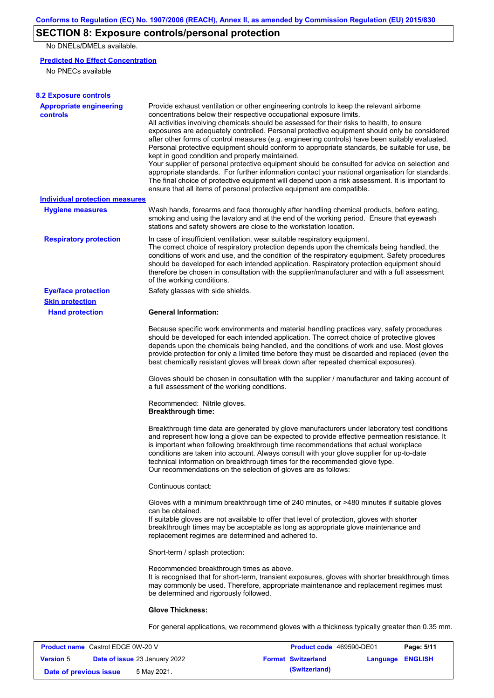## **SECTION 8: Exposure controls/personal protection**

No DNELs/DMELs available.

#### **Predicted No Effect Concentration**

No PNECs available

| <b>8.2 Exposure controls</b>                      |                                                                                                                                                                                                                                                                                                                                                                                                                                                                                                                                                                                                                                                                                                                                                                                                                                                                                                                                                                                                         |
|---------------------------------------------------|---------------------------------------------------------------------------------------------------------------------------------------------------------------------------------------------------------------------------------------------------------------------------------------------------------------------------------------------------------------------------------------------------------------------------------------------------------------------------------------------------------------------------------------------------------------------------------------------------------------------------------------------------------------------------------------------------------------------------------------------------------------------------------------------------------------------------------------------------------------------------------------------------------------------------------------------------------------------------------------------------------|
| <b>Appropriate engineering</b><br><b>controls</b> | Provide exhaust ventilation or other engineering controls to keep the relevant airborne<br>concentrations below their respective occupational exposure limits.<br>All activities involving chemicals should be assessed for their risks to health, to ensure<br>exposures are adequately controlled. Personal protective equipment should only be considered<br>after other forms of control measures (e.g. engineering controls) have been suitably evaluated.<br>Personal protective equipment should conform to appropriate standards, be suitable for use, be<br>kept in good condition and properly maintained.<br>Your supplier of personal protective equipment should be consulted for advice on selection and<br>appropriate standards. For further information contact your national organisation for standards.<br>The final choice of protective equipment will depend upon a risk assessment. It is important to<br>ensure that all items of personal protective equipment are compatible. |
| Individual protection measures                    |                                                                                                                                                                                                                                                                                                                                                                                                                                                                                                                                                                                                                                                                                                                                                                                                                                                                                                                                                                                                         |
| <b>Hygiene measures</b>                           | Wash hands, forearms and face thoroughly after handling chemical products, before eating,<br>smoking and using the lavatory and at the end of the working period. Ensure that eyewash<br>stations and safety showers are close to the workstation location.                                                                                                                                                                                                                                                                                                                                                                                                                                                                                                                                                                                                                                                                                                                                             |
| <b>Respiratory protection</b>                     | In case of insufficient ventilation, wear suitable respiratory equipment.<br>The correct choice of respiratory protection depends upon the chemicals being handled, the<br>conditions of work and use, and the condition of the respiratory equipment. Safety procedures<br>should be developed for each intended application. Respiratory protection equipment should<br>therefore be chosen in consultation with the supplier/manufacturer and with a full assessment<br>of the working conditions.                                                                                                                                                                                                                                                                                                                                                                                                                                                                                                   |
| <b>Eye/face protection</b>                        | Safety glasses with side shields.                                                                                                                                                                                                                                                                                                                                                                                                                                                                                                                                                                                                                                                                                                                                                                                                                                                                                                                                                                       |
| <b>Skin protection</b>                            |                                                                                                                                                                                                                                                                                                                                                                                                                                                                                                                                                                                                                                                                                                                                                                                                                                                                                                                                                                                                         |
| <b>Hand protection</b>                            | <b>General Information:</b>                                                                                                                                                                                                                                                                                                                                                                                                                                                                                                                                                                                                                                                                                                                                                                                                                                                                                                                                                                             |
|                                                   | Because specific work environments and material handling practices vary, safety procedures<br>should be developed for each intended application. The correct choice of protective gloves<br>depends upon the chemicals being handled, and the conditions of work and use. Most gloves<br>provide protection for only a limited time before they must be discarded and replaced (even the<br>best chemically resistant gloves will break down after repeated chemical exposures).                                                                                                                                                                                                                                                                                                                                                                                                                                                                                                                        |
|                                                   | Gloves should be chosen in consultation with the supplier / manufacturer and taking account of<br>a full assessment of the working conditions.                                                                                                                                                                                                                                                                                                                                                                                                                                                                                                                                                                                                                                                                                                                                                                                                                                                          |
|                                                   | Recommended: Nitrile gloves.<br><b>Breakthrough time:</b>                                                                                                                                                                                                                                                                                                                                                                                                                                                                                                                                                                                                                                                                                                                                                                                                                                                                                                                                               |
|                                                   | Breakthrough time data are generated by glove manufacturers under laboratory test conditions<br>and represent how long a glove can be expected to provide effective permeation resistance. It<br>is important when following breakthrough time recommendations that actual workplace<br>conditions are taken into account. Always consult with your glove supplier for up-to-date<br>technical information on breakthrough times for the recommended glove type.<br>Our recommendations on the selection of gloves are as follows:                                                                                                                                                                                                                                                                                                                                                                                                                                                                      |
|                                                   | Continuous contact:                                                                                                                                                                                                                                                                                                                                                                                                                                                                                                                                                                                                                                                                                                                                                                                                                                                                                                                                                                                     |
|                                                   | Gloves with a minimum breakthrough time of 240 minutes, or >480 minutes if suitable gloves<br>can be obtained.<br>If suitable gloves are not available to offer that level of protection, gloves with shorter<br>breakthrough times may be acceptable as long as appropriate glove maintenance and<br>replacement regimes are determined and adhered to.                                                                                                                                                                                                                                                                                                                                                                                                                                                                                                                                                                                                                                                |
|                                                   | Short-term / splash protection:                                                                                                                                                                                                                                                                                                                                                                                                                                                                                                                                                                                                                                                                                                                                                                                                                                                                                                                                                                         |
|                                                   | Recommended breakthrough times as above.<br>It is recognised that for short-term, transient exposures, gloves with shorter breakthrough times<br>may commonly be used. Therefore, appropriate maintenance and replacement regimes must<br>be determined and rigorously followed.                                                                                                                                                                                                                                                                                                                                                                                                                                                                                                                                                                                                                                                                                                                        |
|                                                   | <b>Glove Thickness:</b>                                                                                                                                                                                                                                                                                                                                                                                                                                                                                                                                                                                                                                                                                                                                                                                                                                                                                                                                                                                 |
|                                                   | For general applications, we recommend gloves with a thickness typically greater than 0.35 mm.                                                                                                                                                                                                                                                                                                                                                                                                                                                                                                                                                                                                                                                                                                                                                                                                                                                                                                          |

| <b>Product name</b> Castrol EDGE 0W-20 V |  | <b>Product code</b> 469590-DE01      |  | Page: 5/11                |                         |  |
|------------------------------------------|--|--------------------------------------|--|---------------------------|-------------------------|--|
| <b>Version 5</b>                         |  | <b>Date of issue 23 January 2022</b> |  | <b>Format Switzerland</b> | <b>Language ENGLISH</b> |  |
| Date of previous issue                   |  | 5 May 2021.                          |  | (Switzerland)             |                         |  |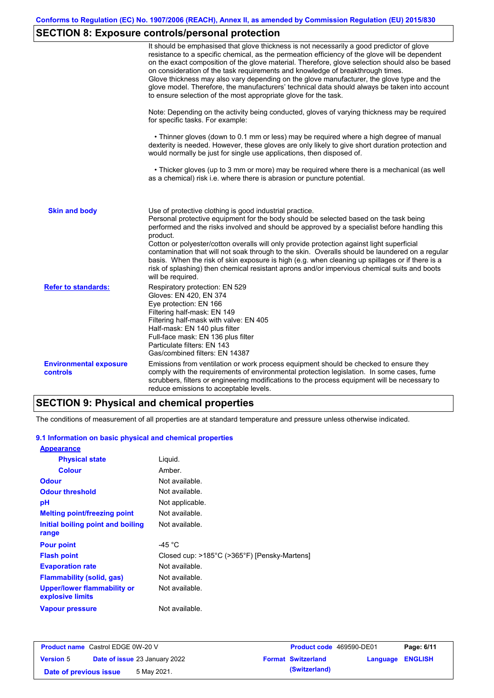# **SECTION 8: Exposure controls/personal protection**

|                                           | It should be emphasised that glove thickness is not necessarily a good predictor of glove<br>resistance to a specific chemical, as the permeation efficiency of the glove will be dependent<br>on the exact composition of the glove material. Therefore, glove selection should also be based<br>on consideration of the task requirements and knowledge of breakthrough times.<br>Glove thickness may also vary depending on the glove manufacturer, the glove type and the<br>glove model. Therefore, the manufacturers' technical data should always be taken into account<br>to ensure selection of the most appropriate glove for the task.                                     |
|-------------------------------------------|---------------------------------------------------------------------------------------------------------------------------------------------------------------------------------------------------------------------------------------------------------------------------------------------------------------------------------------------------------------------------------------------------------------------------------------------------------------------------------------------------------------------------------------------------------------------------------------------------------------------------------------------------------------------------------------|
|                                           | Note: Depending on the activity being conducted, gloves of varying thickness may be required<br>for specific tasks. For example:                                                                                                                                                                                                                                                                                                                                                                                                                                                                                                                                                      |
|                                           | • Thinner gloves (down to 0.1 mm or less) may be required where a high degree of manual<br>dexterity is needed. However, these gloves are only likely to give short duration protection and<br>would normally be just for single use applications, then disposed of.                                                                                                                                                                                                                                                                                                                                                                                                                  |
|                                           | • Thicker gloves (up to 3 mm or more) may be required where there is a mechanical (as well<br>as a chemical) risk i.e. where there is abrasion or puncture potential.                                                                                                                                                                                                                                                                                                                                                                                                                                                                                                                 |
| <b>Skin and body</b>                      | Use of protective clothing is good industrial practice.<br>Personal protective equipment for the body should be selected based on the task being<br>performed and the risks involved and should be approved by a specialist before handling this<br>product.<br>Cotton or polyester/cotton overalls will only provide protection against light superficial<br>contamination that will not soak through to the skin. Overalls should be laundered on a regular<br>basis. When the risk of skin exposure is high (e.g. when cleaning up spillages or if there is a<br>risk of splashing) then chemical resistant aprons and/or impervious chemical suits and boots<br>will be required. |
| <b>Refer to standards:</b>                | Respiratory protection: EN 529<br>Gloves: EN 420, EN 374<br>Eye protection: EN 166<br>Filtering half-mask: EN 149<br>Filtering half-mask with valve: EN 405<br>Half-mask: EN 140 plus filter<br>Full-face mask: EN 136 plus filter<br>Particulate filters: EN 143<br>Gas/combined filters: EN 14387                                                                                                                                                                                                                                                                                                                                                                                   |
| <b>Environmental exposure</b><br>controls | Emissions from ventilation or work process equipment should be checked to ensure they<br>comply with the requirements of environmental protection legislation. In some cases, fume<br>scrubbers, filters or engineering modifications to the process equipment will be necessary to<br>reduce emissions to acceptable levels.                                                                                                                                                                                                                                                                                                                                                         |

# **SECTION 9: Physical and chemical properties**

The conditions of measurement of all properties are at standard temperature and pressure unless otherwise indicated.

#### **9.1 Information on basic physical and chemical properties**

| <b>Appearance</b>                                      |                                              |
|--------------------------------------------------------|----------------------------------------------|
| <b>Physical state</b>                                  | Liquid.                                      |
| <b>Colour</b>                                          | Amber.                                       |
| <b>Odour</b>                                           | Not available.                               |
| <b>Odour threshold</b>                                 | Not available.                               |
| рH                                                     | Not applicable.                              |
| <b>Melting point/freezing point</b>                    | Not available.                               |
| Initial boiling point and boiling                      | Not available.                               |
| range                                                  |                                              |
| <b>Pour point</b>                                      | -45 $^{\circ}$ C                             |
| <b>Flash point</b>                                     | Closed cup: >185°C (>365°F) [Pensky-Martens] |
| <b>Evaporation rate</b>                                | Not available.                               |
| Flammability (solid, gas)                              | Not available.                               |
| <b>Upper/lower flammability or</b><br>explosive limits | Not available.                               |
| <b>Vapour pressure</b>                                 | Not available.                               |

| <b>Product name</b> Castrol EDGE 0W-20 V |                                      | Product code 469590-DE01  |                         | Page: 6/11 |
|------------------------------------------|--------------------------------------|---------------------------|-------------------------|------------|
| <b>Version 5</b>                         | <b>Date of issue 23 January 2022</b> | <b>Format Switzerland</b> | <b>Language ENGLISH</b> |            |
| Date of previous issue                   | 5 May 2021.                          | (Switzerland)             |                         |            |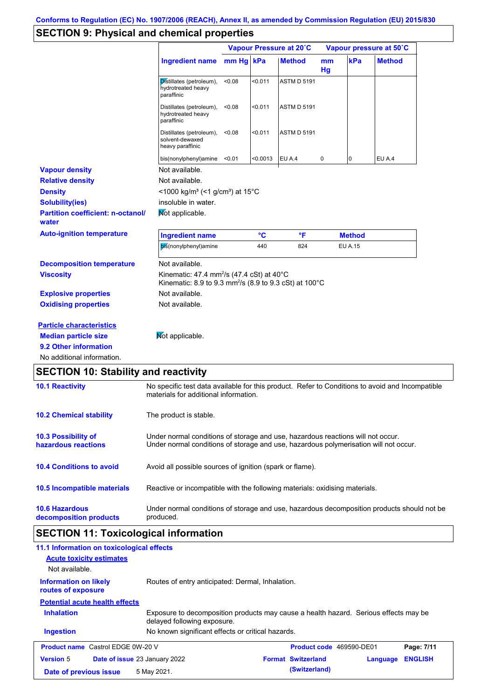## **SECTION 9: Physical and chemical properties**

|                                                   |                                                                                                                                                                         |           |          | Vapour Pressure at 20°C | Vapour pressure at 50°C |                |               |
|---------------------------------------------------|-------------------------------------------------------------------------------------------------------------------------------------------------------------------------|-----------|----------|-------------------------|-------------------------|----------------|---------------|
|                                                   | Ingredient name                                                                                                                                                         | mm Hg kPa |          | <b>Method</b>           | mm<br>Hg                | kPa            | <b>Method</b> |
|                                                   | Distillates (petroleum),<br>hydrotreated heavy<br>paraffinic                                                                                                            | < 0.08    | < 0.011  | ASTM D 5191             |                         |                |               |
|                                                   | Distillates (petroleum),<br>hydrotreated heavy<br>paraffinic                                                                                                            | < 0.08    | < 0.011  | <b>ASTM D 5191</b>      |                         |                |               |
|                                                   | Distillates (petroleum),<br>solvent-dewaxed<br>heavy paraffinic                                                                                                         | < 0.08    | < 0.011  | <b>ASTM D 5191</b>      |                         |                |               |
|                                                   | bis(nonylphenyl)amine <0.01                                                                                                                                             |           | < 0.0013 | EU A.4                  | 0                       | 0              | EU A.4        |
| <b>Vapour density</b>                             | Not available.                                                                                                                                                          |           |          |                         |                         |                |               |
| <b>Relative density</b>                           | Not available.                                                                                                                                                          |           |          |                         |                         |                |               |
| <b>Density</b>                                    | $<$ 1000 kg/m <sup>3</sup> (<1 g/cm <sup>3</sup> ) at 15 <sup>°</sup> C                                                                                                 |           |          |                         |                         |                |               |
| <b>Solubility(ies)</b>                            | insoluble in water.                                                                                                                                                     |           |          |                         |                         |                |               |
| <b>Partition coefficient: n-octanol/</b><br>water | Not applicable.                                                                                                                                                         |           |          |                         |                         |                |               |
| <b>Auto-ignition temperature</b>                  | <b>Ingredient name</b>                                                                                                                                                  |           | °C       | $\mathsf{P}$            |                         | <b>Method</b>  |               |
|                                                   | bis(nonylphenyl)amine                                                                                                                                                   |           | 440      | 824                     |                         | <b>EU A.15</b> |               |
| <b>Decomposition temperature</b>                  | Not available.                                                                                                                                                          |           |          |                         |                         |                |               |
| <b>Viscosity</b>                                  | Kinematic: 47.4 mm <sup>2</sup> /s (47.4 cSt) at 40 $^{\circ}$ C<br>Kinematic: 8.9 to 9.3 mm <sup>2</sup> /s (8.9 to 9.3 cSt) at 100 °C                                 |           |          |                         |                         |                |               |
| <b>Explosive properties</b>                       | Not available.                                                                                                                                                          |           |          |                         |                         |                |               |
| <b>Oxidising properties</b>                       | Not available.                                                                                                                                                          |           |          |                         |                         |                |               |
| <b>Particle characteristics</b>                   |                                                                                                                                                                         |           |          |                         |                         |                |               |
| <b>Median particle size</b>                       | Mot applicable.                                                                                                                                                         |           |          |                         |                         |                |               |
| 9.2 Other information                             |                                                                                                                                                                         |           |          |                         |                         |                |               |
| No additional information.                        |                                                                                                                                                                         |           |          |                         |                         |                |               |
| <b>SECTION 10: Stability and reactivity</b>       |                                                                                                                                                                         |           |          |                         |                         |                |               |
| <b>10.1 Reactivity</b>                            | No specific test data available for this product. Refer to Conditions to avoid and Incompatible<br>materials for additional information.                                |           |          |                         |                         |                |               |
|                                                   | The product is stable.                                                                                                                                                  |           |          |                         |                         |                |               |
| <b>10.2 Chemical stability</b>                    |                                                                                                                                                                         |           |          |                         |                         |                |               |
| 10.3 Possibility of<br>hazardous reactions        | Under normal conditions of storage and use, hazardous reactions will not occur.<br>Under normal conditions of storage and use, hazardous polymerisation will not occur. |           |          |                         |                         |                |               |

**10.6 Hazardous decomposition products** Under normal conditions of storage and use, hazardous decomposition products should not be produced.

Reactive or incompatible with the following materials: oxidising materials.

## **SECTION 11: Toxicological information**

**10.5 Incompatible materials**

| 11.1 Information on toxicological effects          |                                                                                                                     |                           |          |                |
|----------------------------------------------------|---------------------------------------------------------------------------------------------------------------------|---------------------------|----------|----------------|
| <b>Acute toxicity estimates</b>                    |                                                                                                                     |                           |          |                |
| Not available.                                     |                                                                                                                     |                           |          |                |
| <b>Information on likely</b><br>routes of exposure | Routes of entry anticipated: Dermal, Inhalation.                                                                    |                           |          |                |
| <b>Potential acute health effects</b>              |                                                                                                                     |                           |          |                |
| <b>Inhalation</b>                                  | Exposure to decomposition products may cause a health hazard. Serious effects may be<br>delayed following exposure. |                           |          |                |
| <b>Ingestion</b>                                   | No known significant effects or critical hazards.                                                                   |                           |          |                |
| <b>Product name</b> Castrol EDGE 0W-20 V           |                                                                                                                     | Product code 469590-DE01  |          | Page: 7/11     |
| <b>Version 5</b>                                   | Date of issue 23 January 2022                                                                                       | <b>Format Switzerland</b> | Language | <b>ENGLISH</b> |
| Date of previous issue                             | 5 May 2021.                                                                                                         | (Switzerland)             |          |                |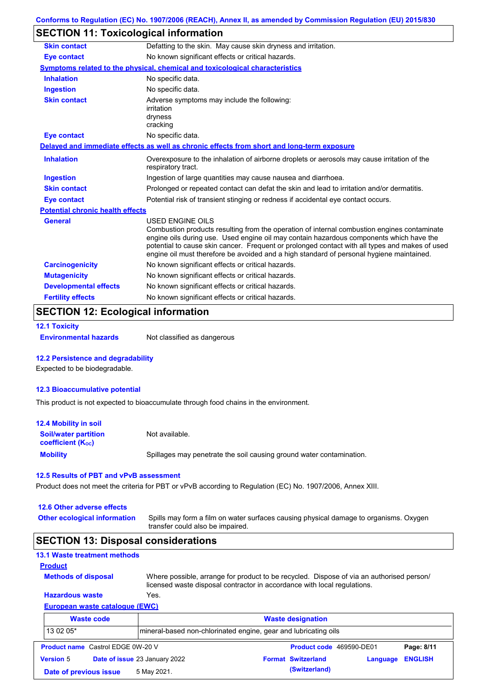### **SECTION 11: Toxicological information**

| Defatting to the skin. May cause skin dryness and irritation.                                                                                                                                                                                                                                                                                                                                                   |
|-----------------------------------------------------------------------------------------------------------------------------------------------------------------------------------------------------------------------------------------------------------------------------------------------------------------------------------------------------------------------------------------------------------------|
| No known significant effects or critical hazards.                                                                                                                                                                                                                                                                                                                                                               |
| Symptoms related to the physical, chemical and toxicological characteristics                                                                                                                                                                                                                                                                                                                                    |
| No specific data.                                                                                                                                                                                                                                                                                                                                                                                               |
| No specific data.                                                                                                                                                                                                                                                                                                                                                                                               |
| Adverse symptoms may include the following:<br>irritation<br>dryness<br>cracking                                                                                                                                                                                                                                                                                                                                |
| No specific data.                                                                                                                                                                                                                                                                                                                                                                                               |
| Delayed and immediate effects as well as chronic effects from short and long-term exposure                                                                                                                                                                                                                                                                                                                      |
| Overexposure to the inhalation of airborne droplets or aerosols may cause irritation of the<br>respiratory tract.                                                                                                                                                                                                                                                                                               |
| Ingestion of large quantities may cause nausea and diarrhoea.                                                                                                                                                                                                                                                                                                                                                   |
| Prolonged or repeated contact can defat the skin and lead to irritation and/or dermatitis.                                                                                                                                                                                                                                                                                                                      |
| Potential risk of transient stinging or redness if accidental eye contact occurs.                                                                                                                                                                                                                                                                                                                               |
| <b>Potential chronic health effects</b>                                                                                                                                                                                                                                                                                                                                                                         |
| <b>USED ENGINE OILS</b><br>Combustion products resulting from the operation of internal combustion engines contaminate<br>engine oils during use. Used engine oil may contain hazardous components which have the<br>potential to cause skin cancer. Frequent or prolonged contact with all types and makes of used<br>engine oil must therefore be avoided and a high standard of personal hygiene maintained. |
| No known significant effects or critical hazards.                                                                                                                                                                                                                                                                                                                                                               |
| No known significant effects or critical hazards.                                                                                                                                                                                                                                                                                                                                                               |
| No known significant effects or critical hazards.                                                                                                                                                                                                                                                                                                                                                               |
|                                                                                                                                                                                                                                                                                                                                                                                                                 |
|                                                                                                                                                                                                                                                                                                                                                                                                                 |

### **SECTION 12: Ecological information**

```
12.1 Toxicity
```
**Environmental hazards** Not classified as dangerous

#### **12.2 Persistence and degradability**

Expected to be biodegradable.

#### **12.3 Bioaccumulative potential**

This product is not expected to bioaccumulate through food chains in the environment.

| <b>12.4 Mobility in soil</b>                                  |                                                                      |
|---------------------------------------------------------------|----------------------------------------------------------------------|
| <b>Soil/water partition</b><br>coefficient (K <sub>oc</sub> ) | Not available.                                                       |
| <b>Mobility</b>                                               | Spillages may penetrate the soil causing ground water contamination. |

#### **12.5 Results of PBT and vPvB assessment**

Product does not meet the criteria for PBT or vPvB according to Regulation (EC) No. 1907/2006, Annex XIII.

#### **12.6 Other adverse effects**

**Other ecological information**

Spills may form a film on water surfaces causing physical damage to organisms. Oxygen transfer could also be impaired.

#### **SECTION 13: Disposal considerations**

#### **13.1 Waste treatment methods**

**Methods of disposal**

**Product**

Where possible, arrange for product to be recycled. Dispose of via an authorised person/ licensed waste disposal contractor in accordance with local regulations.

#### **European waste catalogue (EWC) Hazardous waste** Yes.

|                  | <b>Waste code</b>                        | <b>Waste designation</b>      |                                                                  |                           |          |                |
|------------------|------------------------------------------|-------------------------------|------------------------------------------------------------------|---------------------------|----------|----------------|
| 13 02 05*        |                                          |                               | Imineral-based non-chlorinated engine, gear and lubricating oils |                           |          |                |
|                  | <b>Product name</b> Castrol EDGE 0W-20 V |                               |                                                                  | Product code 469590-DE01  |          | Page: 8/11     |
| <b>Version 5</b> |                                          | Date of issue 23 January 2022 |                                                                  | <b>Format Switzerland</b> | Language | <b>ENGLISH</b> |
|                  | Date of previous issue                   | 5 May 2021.                   |                                                                  | (Switzerland)             |          |                |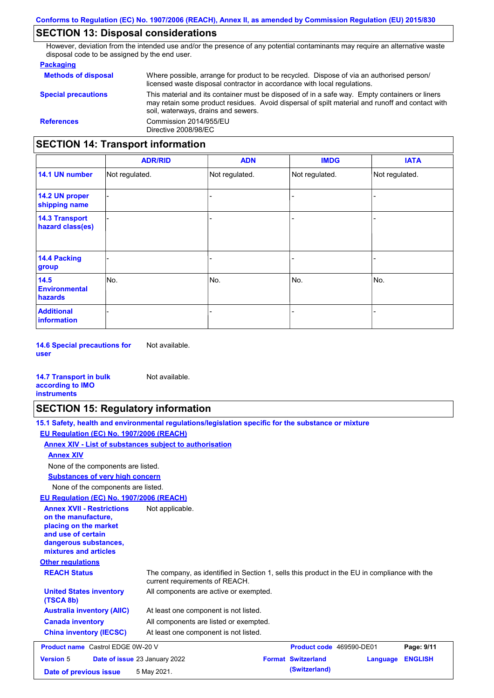### **SECTION 13: Disposal considerations**

However, deviation from the intended use and/or the presence of any potential contaminants may require an alternative waste disposal code to be assigned by the end user.

#### **Packaging**

| <b>Methods of disposal</b>               | Where possible, arrange for product to be recycled. Dispose of via an authorised person/<br>licensed waste disposal contractor in accordance with local regulations.                                                                    |
|------------------------------------------|-----------------------------------------------------------------------------------------------------------------------------------------------------------------------------------------------------------------------------------------|
| <b>Special precautions</b>               | This material and its container must be disposed of in a safe way. Empty containers or liners<br>may retain some product residues. Avoid dispersal of spilt material and runoff and contact with<br>soil, waterways, drains and sewers. |
| <b>References</b>                        | Commission 2014/955/EU<br>Directive 2008/98/EC                                                                                                                                                                                          |
| <b>SECTION 14: Transport information</b> |                                                                                                                                                                                                                                         |

#### - - - - - - - - - Not regulated. Not regulated. Not regulated. - - - **ADR/RID IMDG IATA 14.1 UN number 14.2 UN proper shipping name 14.3 Transport hazard class(es) 14.4 Packing group ADN Additional information 14.5 Environmental hazards** No. 1980 | No. 1980 | No. 1980 | No. 1980 | No. 1980 | No. 1980 | No. 1980 | No. 1980 | No. 1980 | No. 1980 | Not regulated. - No. - -

**14.6 Special precautions for user** Not available.

#### **14.7 Transport in bulk according to IMO instruments**

### **SECTION 15: Regulatory information**

Not available.

|                                                                                                                                                          | 15.1 Safety, health and environmental regulations/legislation specific for the substance or mixture                            |                           |          |                |
|----------------------------------------------------------------------------------------------------------------------------------------------------------|--------------------------------------------------------------------------------------------------------------------------------|---------------------------|----------|----------------|
| EU Regulation (EC) No. 1907/2006 (REACH)                                                                                                                 |                                                                                                                                |                           |          |                |
| Annex XIV - List of substances subject to authorisation                                                                                                  |                                                                                                                                |                           |          |                |
| <b>Annex XIV</b>                                                                                                                                         |                                                                                                                                |                           |          |                |
| None of the components are listed.                                                                                                                       |                                                                                                                                |                           |          |                |
| <b>Substances of very high concern</b>                                                                                                                   |                                                                                                                                |                           |          |                |
| None of the components are listed.                                                                                                                       |                                                                                                                                |                           |          |                |
| EU Regulation (EC) No. 1907/2006 (REACH)                                                                                                                 |                                                                                                                                |                           |          |                |
| <b>Annex XVII - Restrictions</b><br>on the manufacture.<br>placing on the market<br>and use of certain<br>dangerous substances,<br>mixtures and articles | Not applicable.                                                                                                                |                           |          |                |
| <b>Other regulations</b>                                                                                                                                 |                                                                                                                                |                           |          |                |
| <b>REACH Status</b>                                                                                                                                      | The company, as identified in Section 1, sells this product in the EU in compliance with the<br>current requirements of REACH. |                           |          |                |
| <b>United States inventory</b><br>(TSCA 8b)                                                                                                              | All components are active or exempted.                                                                                         |                           |          |                |
| <b>Australia inventory (AIIC)</b>                                                                                                                        | At least one component is not listed.                                                                                          |                           |          |                |
| <b>Canada inventory</b>                                                                                                                                  | All components are listed or exempted.                                                                                         |                           |          |                |
| <b>China inventory (IECSC)</b>                                                                                                                           | At least one component is not listed.                                                                                          |                           |          |                |
| <b>Product name</b> Castrol EDGE 0W-20 V                                                                                                                 |                                                                                                                                | Product code 469590-DE01  |          | Page: 9/11     |
| <b>Version 5</b><br>Date of issue 23 January 2022                                                                                                        |                                                                                                                                | <b>Format Switzerland</b> | Language | <b>ENGLISH</b> |
| Date of previous issue                                                                                                                                   | 5 May 2021.                                                                                                                    | (Switzerland)             |          |                |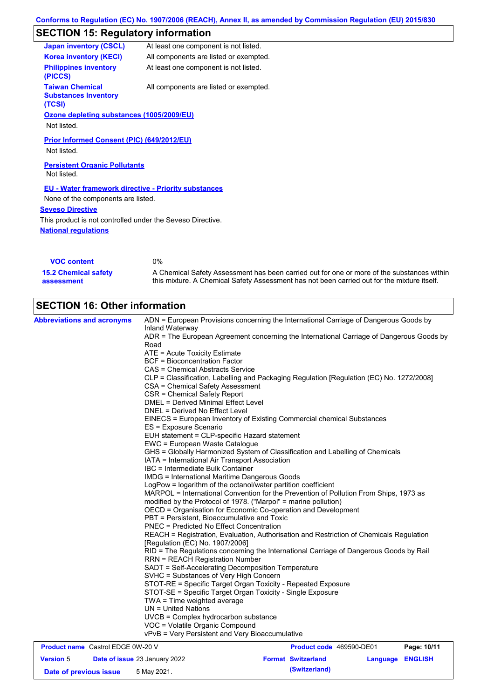# **SECTION 15: Regulatory information**

| <b>Japan inventory (CSCL)</b>                                   | At least one component is not listed.  |
|-----------------------------------------------------------------|----------------------------------------|
| <b>Korea inventory (KECI)</b>                                   | All components are listed or exempted. |
| <b>Philippines inventory</b><br>(PICCS)                         | At least one component is not listed.  |
| <b>Taiwan Chemical</b><br><b>Substances Inventory</b><br>(TCSI) | All components are listed or exempted. |
| Ozone depleting substances (1005/2009/EU)                       |                                        |
| Not listed.                                                     |                                        |
| <b>Prior Informed Consent (PIC) (649/2012/EU)</b>               |                                        |
| Not listed.                                                     |                                        |
| <b>Persistent Organic Pollutants</b>                            |                                        |
| Not listed.                                                     |                                        |
| <b>EU - Water framework directive - Priority substances</b>     |                                        |
| None of the components are listed.                              |                                        |
| <b>Seveso Directive</b>                                         |                                        |
| This product is not controlled under the Seveso Directive.      |                                        |
| <b>National regulations</b>                                     |                                        |
|                                                                 |                                        |

| <b>VOC content</b>          | 0%                                                                                          |
|-----------------------------|---------------------------------------------------------------------------------------------|
| <b>15.2 Chemical safety</b> | A Chemical Safety Assessment has been carried out for one or more of the substances within  |
| assessment                  | this mixture. A Chemical Safety Assessment has not been carried out for the mixture itself. |

| <b>SECTION 16: Other information</b><br><b>Abbreviations and acronyms</b> | ADN = European Provisions concerning the International Carriage of Dangerous Goods by<br>Inland Waterway<br>ADR = The European Agreement concerning the International Carriage of Dangerous Goods by<br>Road<br>ATE = Acute Toxicity Estimate<br><b>BCF</b> = Bioconcentration Factor<br>CAS = Chemical Abstracts Service<br>CLP = Classification, Labelling and Packaging Regulation [Regulation (EC) No. 1272/2008]<br>CSA = Chemical Safety Assessment<br>CSR = Chemical Safety Report<br><b>DMEL = Derived Minimal Effect Level</b><br>DNEL = Derived No Effect Level<br>EINECS = European Inventory of Existing Commercial chemical Substances<br>ES = Exposure Scenario<br>EUH statement = CLP-specific Hazard statement<br>EWC = European Waste Catalogue<br>GHS = Globally Harmonized System of Classification and Labelling of Chemicals<br>IATA = International Air Transport Association<br>IBC = Intermediate Bulk Container<br><b>IMDG = International Maritime Dangerous Goods</b><br>LogPow = logarithm of the octanol/water partition coefficient<br>MARPOL = International Convention for the Prevention of Pollution From Ships, 1973 as<br>modified by the Protocol of 1978. ("Marpol" = marine pollution)<br>OECD = Organisation for Economic Co-operation and Development<br>PBT = Persistent, Bioaccumulative and Toxic<br><b>PNEC = Predicted No Effect Concentration</b><br>REACH = Registration, Evaluation, Authorisation and Restriction of Chemicals Regulation<br>[Regulation (EC) No. 1907/2006]<br>RID = The Regulations concerning the International Carriage of Dangerous Goods by Rail<br><b>RRN = REACH Registration Number</b><br>SADT = Self-Accelerating Decomposition Temperature<br>SVHC = Substances of Very High Concern<br>STOT-RE = Specific Target Organ Toxicity - Repeated Exposure<br>STOT-SE = Specific Target Organ Toxicity - Single Exposure |                           |                         |             |
|---------------------------------------------------------------------------|--------------------------------------------------------------------------------------------------------------------------------------------------------------------------------------------------------------------------------------------------------------------------------------------------------------------------------------------------------------------------------------------------------------------------------------------------------------------------------------------------------------------------------------------------------------------------------------------------------------------------------------------------------------------------------------------------------------------------------------------------------------------------------------------------------------------------------------------------------------------------------------------------------------------------------------------------------------------------------------------------------------------------------------------------------------------------------------------------------------------------------------------------------------------------------------------------------------------------------------------------------------------------------------------------------------------------------------------------------------------------------------------------------------------------------------------------------------------------------------------------------------------------------------------------------------------------------------------------------------------------------------------------------------------------------------------------------------------------------------------------------------------------------------------------------------------------------------------------------------------------------------------------|---------------------------|-------------------------|-------------|
|                                                                           | TWA = Time weighted average<br>$UN = United Nations$<br>UVCB = Complex hydrocarbon substance<br>VOC = Volatile Organic Compound<br>vPvB = Very Persistent and Very Bioaccumulative                                                                                                                                                                                                                                                                                                                                                                                                                                                                                                                                                                                                                                                                                                                                                                                                                                                                                                                                                                                                                                                                                                                                                                                                                                                                                                                                                                                                                                                                                                                                                                                                                                                                                                               |                           |                         |             |
| <b>Product name</b> Castrol EDGE 0W-20 V                                  |                                                                                                                                                                                                                                                                                                                                                                                                                                                                                                                                                                                                                                                                                                                                                                                                                                                                                                                                                                                                                                                                                                                                                                                                                                                                                                                                                                                                                                                                                                                                                                                                                                                                                                                                                                                                                                                                                                  | Product code 469590-DE01  |                         | Page: 10/11 |
| <b>Version 5</b>                                                          | Date of issue 23 January 2022                                                                                                                                                                                                                                                                                                                                                                                                                                                                                                                                                                                                                                                                                                                                                                                                                                                                                                                                                                                                                                                                                                                                                                                                                                                                                                                                                                                                                                                                                                                                                                                                                                                                                                                                                                                                                                                                    | <b>Format Switzerland</b> | <b>Language ENGLISH</b> |             |
|                                                                           |                                                                                                                                                                                                                                                                                                                                                                                                                                                                                                                                                                                                                                                                                                                                                                                                                                                                                                                                                                                                                                                                                                                                                                                                                                                                                                                                                                                                                                                                                                                                                                                                                                                                                                                                                                                                                                                                                                  |                           |                         |             |